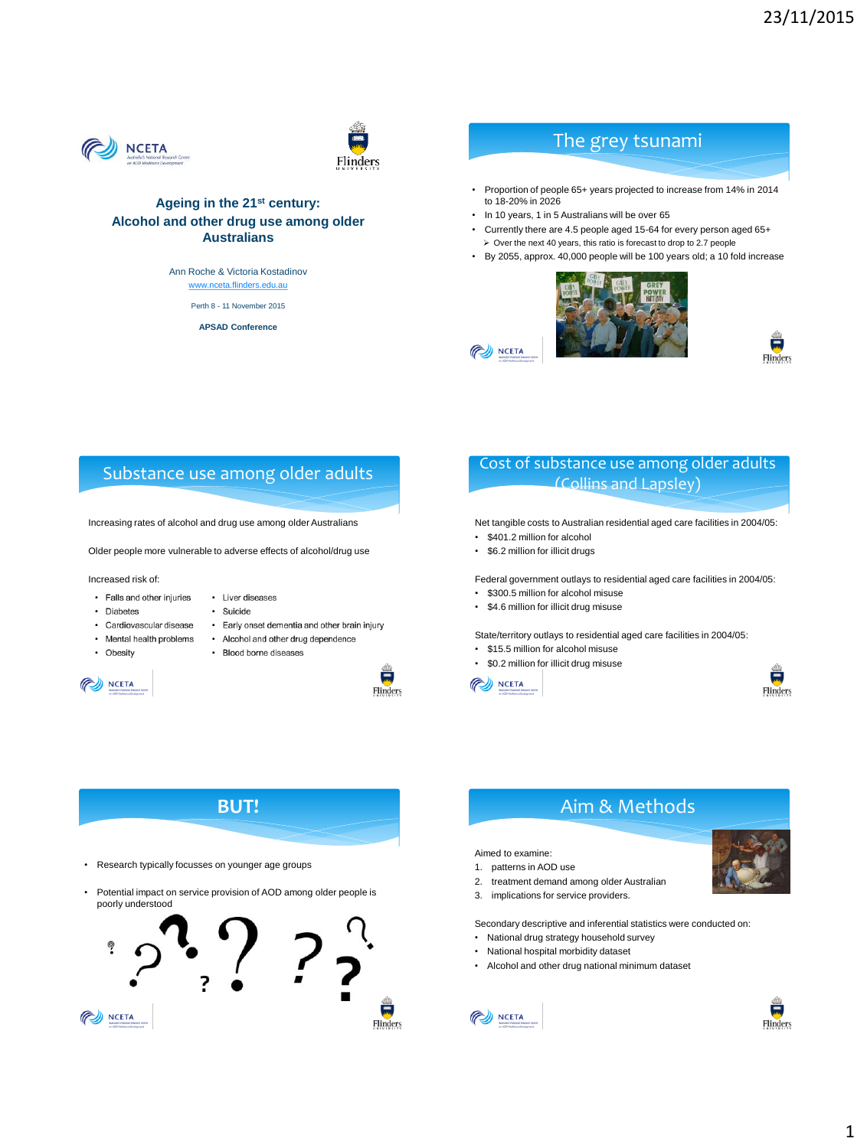



### **Ageing in the 21st century: Alcohol and other drug use among older Australians**

Ann Roche & Victoria Kostadinov [www.nceta.flinders.edu.au](http://www.nceta.flinders.edu.au/)

Perth 8 - 11 November 2015

**APSAD Conference**

## The grey tsunami

• Proportion of people 65+ years projected to increase from 14% in 2014 to 18-20% in 2026

- In 10 years, 1 in 5 Australians will be over 65
- Currently there are 4.5 people aged 15-64 for every person aged 65+  $\geq$  Over the next 40 years, this ratio is forecast to drop to 2.7 people
- By 2055, approx. 40,000 people will be 100 years old; a 10 fold increase





## Substance use among older adults

Increasing rates of alcohol and drug use among older Australians

Older people more vulnerable to adverse effects of alcohol/drug use

Increased risk of:

- Falls and other injuries • Liver diseases
	- · Suicide
- Early onset dementia and other brain injury • Cardiovascular disease
- Mental health problems • Alcohol and other drug dependence
- Obesity

· Diabetes

• Blood borne diseases



 $\frac{1}{\sin \theta}$ Flinders

### Cost of substance use among older adults (Collins and Lapsley)

Net tangible costs to Australian residential aged care facilities in 2004/05:

• \$401.2 million for alcohol

NCETA

• \$6.2 million for illicit drugs

Federal government outlays to residential aged care facilities in 2004/05:

- \$300.5 million for alcohol misuse
- \$4.6 million for illicit drug misuse

State/territory outlays to residential aged care facilities in 2004/05:

- \$15.5 million for alcohol misuse
- \$0.2 million for illicit drug misuse







### Aimed to examine:

- 1. patterns in AOD use
- 2. treatment demand among older Australian
- 3. implications for service providers.

Secondary descriptive and inferential statistics were conducted on:

- National drug strategy household survey
- National hospital morbidity dataset
- Alcohol and other drug national minimum dataset



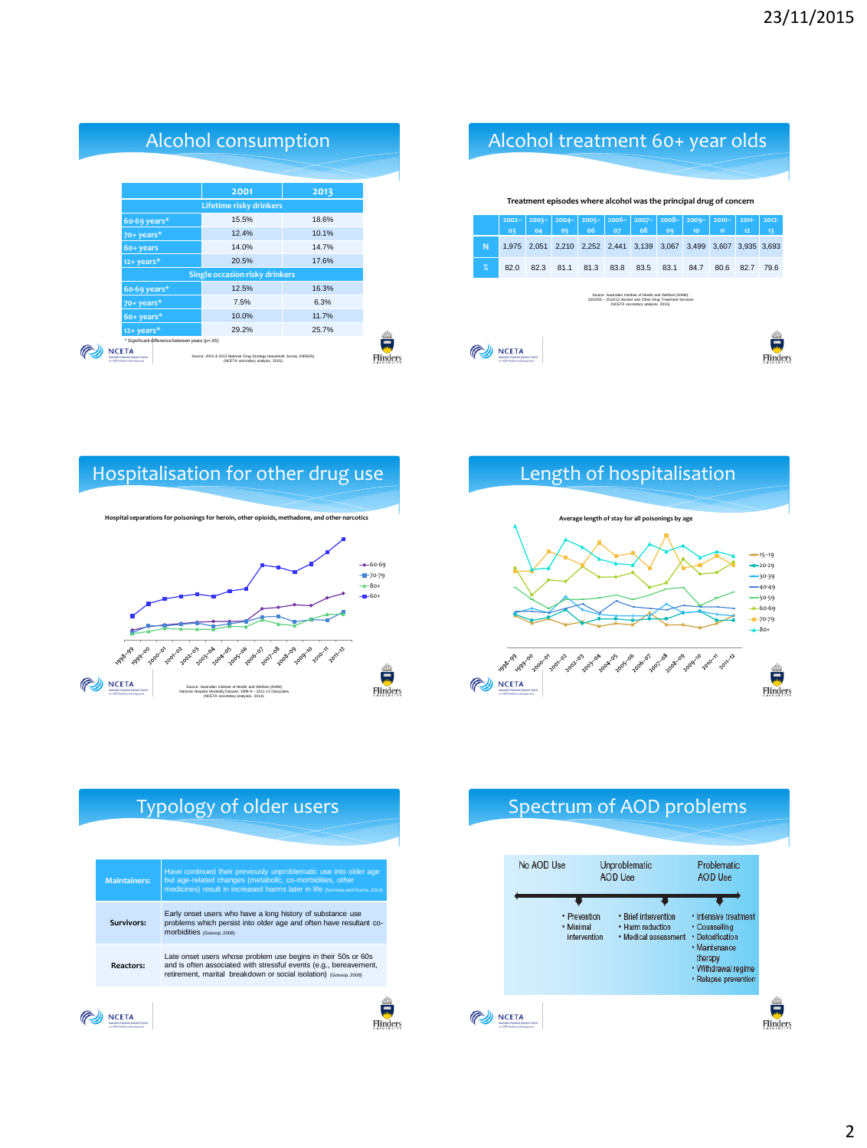|                   | Alcohol treatment 60+ year olds |                |                                                                    |                   |                |                                                                                                                                                                |                |                |                |                   |                |
|-------------------|---------------------------------|----------------|--------------------------------------------------------------------|-------------------|----------------|----------------------------------------------------------------------------------------------------------------------------------------------------------------|----------------|----------------|----------------|-------------------|----------------|
|                   |                                 |                | Treatment episodes where alcohol was the principal drug of concern |                   |                |                                                                                                                                                                |                |                |                |                   |                |
|                   | $2002 -$<br>03                  | $2003 -$<br>04 | $2004 -$<br>05                                                     | $2005 -$<br>06    | $2006 -$<br>07 | $2007 -$<br>08                                                                                                                                                 | $2008 -$<br>09 | $2009 -$<br>10 | $2010 -$<br>11 | $2011 -$<br>12    | $2012 -$<br>13 |
| N                 | 1.975                           | 2,051          |                                                                    | 2,210 2,252 2,441 |                | 3,139                                                                                                                                                          | 3,067          | 3,499          |                | 3,607 3,935 3,693 |                |
| $\boldsymbol{\%}$ | 82.0                            | 82.3           | 81.1                                                               | 81.3              | 83.8           | 83.5                                                                                                                                                           | 83.1           | 84.7           | 80.6           | 82.7              | 79.6           |
|                   |                                 |                |                                                                    |                   |                | Source: Australian Institute of Health and Welfare (AIHW).<br>2002/03 - 2012/13 Alcohol and Other Drug Treatment Services<br>(NCETA secondary analysis, 2015). |                |                |                |                   |                |
|                   | w. 4/20 Min 44 year Development |                |                                                                    |                   |                |                                                                                                                                                                |                |                |                |                   |                |

|                          |                                                | <b>Alcohol consumption</b>                                                                                |       |  |
|--------------------------|------------------------------------------------|-----------------------------------------------------------------------------------------------------------|-------|--|
|                          |                                                |                                                                                                           |       |  |
|                          |                                                | 2001                                                                                                      | 2013  |  |
|                          |                                                | Lifetime risky drinkers                                                                                   |       |  |
| 60-69 years*             |                                                | 15.5%                                                                                                     | 18.6% |  |
| 70+ years*               |                                                | 12.4%                                                                                                     | 10.1% |  |
| 60+ years                |                                                | 14.0%                                                                                                     | 14.7% |  |
| 12+ years*               |                                                | 20.5%                                                                                                     | 17.6% |  |
|                          |                                                | <b>Single occasion risky drinkers</b>                                                                     |       |  |
| $60-69$ years*           |                                                | 12.5%                                                                                                     | 16.3% |  |
| $70+years*$              |                                                | 7.5%                                                                                                      | 6.3%  |  |
| 60+ years*               |                                                | 10.0%                                                                                                     | 11.7% |  |
| 12+ years*               |                                                | 29.2%                                                                                                     | 25.7% |  |
| on 400 Moddays Sportsman | * Significant difference between years (p<.05) | Source: 2001 & 2013 National Drug Strategy Household Survey (NDSHS).<br>(NCETA secondary analysis, 2015). |       |  |







# Typology of older users

| <b>Maintainers:</b> | Have continued their previously unproblematic use into older age<br>but age-related changes (metabolic, co-morbidities, other<br>medicines) result in increased harms later in life (Nicholas and Roche, 2014) |
|---------------------|----------------------------------------------------------------------------------------------------------------------------------------------------------------------------------------------------------------|
| Survivors:          | Early onset users who have a long history of substance use<br>problems which persist into older age and often have resultant co-<br>morbidities (Gossop, 2008)                                                 |
| <b>Reactors:</b>    | Late onset users whose problem use begins in their 50s or 60s<br>and is often associated with stressful events (e.g., bereavement,<br>retirement, marital breakdown or social isolation) (Gossop, 2008)        |
|                     |                                                                                                                                                                                                                |